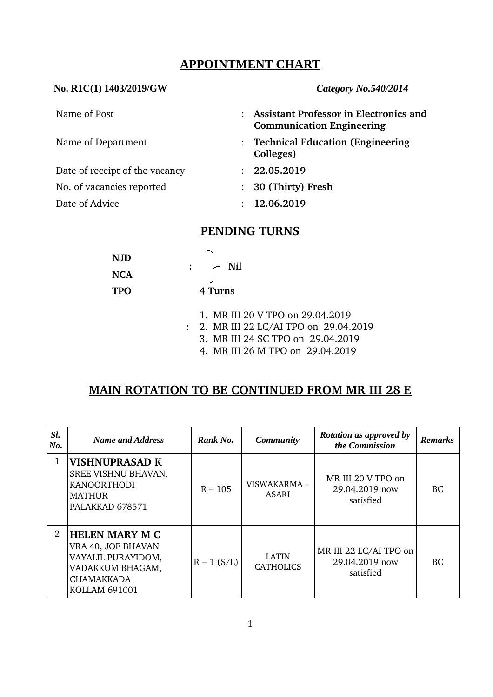## **APPOINTMENT CHART**

#### **No. R1C(1) 1403/2019/GW** *Category No.540/2014*

Date of receipt of the vacancy : **22.05.2019** 

- Name of Post : **Assistant Professor in Electronics and Communication Engineering**
- Name of Department : **Technical Education (Engineering Colleges)**
	-
- No. of vacancies reported : **30 (Thirty) Fresh**
- Date of Advice : **12.06.2019**

# **PENDING TURNS**

| <b>NJD</b> |  |
|------------|--|
| <b>NCA</b> |  |
| <b>TPO</b> |  |

**4 Turns**

 $: \rightarrow$  Nil

- 1. MR III 20 V TPO on 29.04.2019
- **:** 2. MR III 22 LC/AI TPO on 29.04.2019
	- 3. MR III 24 SC TPO on 29.04.2019
	- 4. MR III 26 M TPO on 29.04.2019

# **MAIN ROTATION TO BE CONTINUED FROM MR III 28 E**

| SI.<br>No. | <b>Name and Address</b>                                                                                                            | Rank No.      | <b>Rotation as approved by</b><br><b>Community</b><br>the Commission |                                                       | <b>Remarks</b> |
|------------|------------------------------------------------------------------------------------------------------------------------------------|---------------|----------------------------------------------------------------------|-------------------------------------------------------|----------------|
| 1          | <b>VISHNUPRASAD K</b><br>SREE VISHNU BHAVAN,<br><b>KANOORTHODI</b><br><b>MATHUR</b><br>PALAKKAD 678571                             | $R - 105$     | VISWAKARMA-<br>ASARI                                                 | MR III 20 V TPO on<br>29.04.2019 now<br>satisfied     | BC.            |
| 2          | <b>HELEN MARY M C</b><br>VRA 40, JOE BHAVAN<br>VAYALIL PURAYIDOM,<br>VADAKKUM BHAGAM,<br><b>CHAMAKKADA</b><br><b>KOLLAM 691001</b> | $R - 1 (S/L)$ | <b>LATIN</b><br><b>CATHOLICS</b>                                     | MR III 22 LC/AI TPO on<br>29.04.2019 now<br>satisfied | BC.            |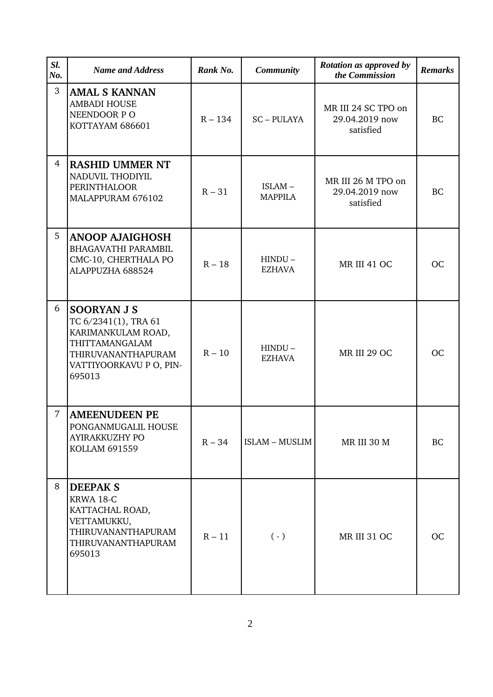| SI.<br>No.     | <b>Name and Address</b>                                                                                                                       | Rank No.  | <b>Community</b>           | Rotation as approved by<br>the Commission          | <b>Remarks</b> |
|----------------|-----------------------------------------------------------------------------------------------------------------------------------------------|-----------|----------------------------|----------------------------------------------------|----------------|
| 3              | <b>AMAL S KANNAN</b><br><b>AMBADI HOUSE</b><br>NEENDOOR PO<br>KOTTAYAM 686601                                                                 | $R - 134$ | <b>SC-PULAYA</b>           | MR III 24 SC TPO on<br>29.04.2019 now<br>satisfied | <b>BC</b>      |
| $\overline{4}$ | <b>RASHID UMMER NT</b><br>NADUVIL THODIYIL<br><b>PERINTHALOOR</b><br>MALAPPURAM 676102                                                        | $R - 31$  | ISLAM-<br><b>MAPPILA</b>   | MR III 26 M TPO on<br>29.04.2019 now<br>satisfied  | <b>BC</b>      |
| 5              | <b>ANOOP AJAIGHOSH</b><br><b>BHAGAVATHI PARAMBIL</b><br>CMC-10, CHERTHALA PO<br>ALAPPUZHA 688524                                              | $R - 18$  | $HINDU -$<br><b>EZHAVA</b> | MR III 41 OC                                       | <b>OC</b>      |
| 6              | <b>SOORYAN J S</b><br>TC 6/2341(1), TRA 61<br>KARIMANKULAM ROAD,<br>THITTAMANGALAM<br>THIRUVANANTHAPURAM<br>VATTIYOORKAVU P O, PIN-<br>695013 | $R - 10$  | $HINDU -$<br><b>EZHAVA</b> | <b>MR III 29 OC</b>                                | <b>OC</b>      |
| 7              | <b>AMEENUDEEN PE</b><br>PONGANMUGALIL HOUSE<br>AYIRAKKUZHY PO<br><b>KOLLAM 691559</b>                                                         | $R - 34$  | <b>ISLAM - MUSLIM</b>      | MR III 30 M                                        | BC             |
| 8              | <b>DEEPAK S</b><br>KRWA 18-C<br>KATTACHAL ROAD,<br>VETTAMUKKU,<br>THIRUVANANTHAPURAM<br>THIRUVANANTHAPURAM<br>695013                          | $R - 11$  | $(\cdot)$                  | <b>MR III 31 OC</b>                                | <b>OC</b>      |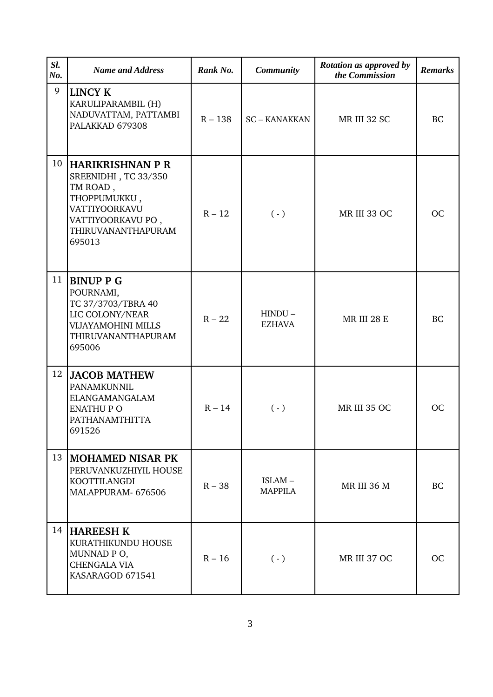| SI.<br>No. | <b>Name and Address</b>                                                                                                                    | Rank No.  | <b>Community</b>           | Rotation as approved by<br>the Commission | <b>Remarks</b> |
|------------|--------------------------------------------------------------------------------------------------------------------------------------------|-----------|----------------------------|-------------------------------------------|----------------|
| 9          | <b>LINCY K</b><br>KARULIPARAMBIL (H)<br>NADUVATTAM, PATTAMBI<br>PALAKKAD 679308                                                            | $R - 138$ | <b>SC-KANAKKAN</b>         | MR III 32 SC                              | <b>BC</b>      |
| 10         | HARIKRISHNAN P R<br>SREENIDHI, TC 33/350<br>TM ROAD,<br>THOPPUMUKKU,<br>VATTIYOORKAVU<br>VATTIYOORKAVU PO,<br>THIRUVANANTHAPURAM<br>695013 | $R - 12$  | $(\cdot)$                  | MR III 33 OC                              | <b>OC</b>      |
| 11         | <b>BINUP P G</b><br>POURNAMI,<br>TC 37/3703/TBRA 40<br>LIC COLONY/NEAR<br>VIJAYAMOHINI MILLS<br>THIRUVANANTHAPURAM<br>695006               | $R - 22$  | $HINDU -$<br><b>EZHAVA</b> | <b>MR III 28 E</b>                        | <b>BC</b>      |
| 12         | <b>JACOB MATHEW</b><br>PANAMKUNNIL<br><b>ELANGAMANGALAM</b><br><b>ENATHUP O</b><br><b>PATHANAMTHITTA</b><br>691526                         | $R - 14$  | $(\cdot)$                  | MR III 35 OC                              | <b>OC</b>      |
| 13         | <b>MOHAMED NISAR PK</b><br>PERUVANKUZHIYIL HOUSE<br>KOOTTILANGDI<br>MALAPPURAM- 676506                                                     | $R - 38$  | ISLAM-<br><b>MAPPILA</b>   | <b>MR III 36 M</b>                        | <b>BC</b>      |
|            | 14  HAREESH K<br>KURATHIKUNDU HOUSE<br>MUNNAD PO,<br><b>CHENGALA VIA</b><br>KASARAGOD 671541                                               | $R - 16$  | $(\cdot)$                  | MR III 37 OC                              | <b>OC</b>      |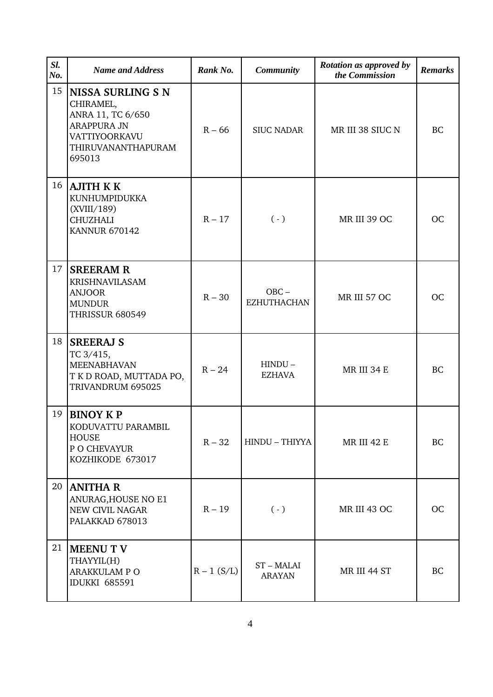| SI.<br>No. | <b>Name and Address</b>                                                                                                           | Rank No.      | <b>Community</b>              | Rotation as approved by<br>the Commission | <b>Remarks</b> |
|------------|-----------------------------------------------------------------------------------------------------------------------------------|---------------|-------------------------------|-------------------------------------------|----------------|
| 15         | <b>NISSA SURLING S N</b><br>CHIRAMEL,<br>ANRA 11, TC 6/650<br><b>ARAPPURA JN</b><br>VATTIYOORKAVU<br>THIRUVANANTHAPURAM<br>695013 | $R - 66$      | <b>SIUC NADAR</b>             | MR III 38 SIUC N                          | <b>BC</b>      |
| 16         | AJITH K K<br>KUNHUMPIDUKKA<br>(XVIII/189)<br><b>CHUZHALI</b><br><b>KANNUR 670142</b>                                              | $R - 17$      | $(\cdot)$                     | MR III 39 OC                              | <b>OC</b>      |
| 17         | <b>SREERAM R</b><br><b>KRISHNAVILASAM</b><br><b>ANJOOR</b><br><b>MUNDUR</b><br><b>THRISSUR 680549</b>                             | $R - 30$      | $OBC -$<br><b>EZHUTHACHAN</b> | MR III 57 OC                              | <b>OC</b>      |
| 18         | <b>SREERAJ S</b><br>TC 3/415,<br><b>MEENABHAVAN</b><br>T K D ROAD, MUTTADA PO,<br>TRIVANDRUM 695025                               | $R - 24$      | $HINDU -$<br><b>EZHAVA</b>    | MR III 34 E                               | <b>BC</b>      |
| 19         | <b>BINOY KP</b><br>KODUVATTU PARAMBIL<br><b>HOUSE</b><br>P O CHEVAYUR<br>KOZHIKODE 673017                                         | $R - 32$      | HINDU - THIYYA                | <b>MR III 42 E</b>                        | BC             |
|            | 20   ANITHA R<br>ANURAG, HOUSE NO E1<br><b>NEW CIVIL NAGAR</b><br>PALAKKAD 678013                                                 | $R - 19$      | $(\cdot)$                     | <b>MR III 43 OC</b>                       | <b>OC</b>      |
| 21         | <b>MEENU T V</b><br>THAYYIL(H)<br>ARAKKULAM P O<br><b>IDUKKI 685591</b>                                                           | $R - 1 (S/L)$ | ST-MALAI<br><b>ARAYAN</b>     | MR III 44 ST                              | <b>BC</b>      |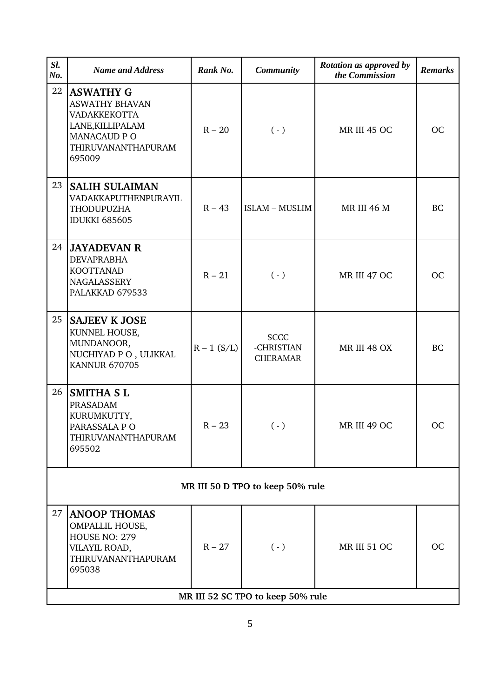| SI.<br>No.                       | <b>Name and Address</b>                                                                                                             | Rank No.      | <b>Community</b>                             | Rotation as approved by<br>the Commission | <b>Remarks</b> |  |  |
|----------------------------------|-------------------------------------------------------------------------------------------------------------------------------------|---------------|----------------------------------------------|-------------------------------------------|----------------|--|--|
| 22                               | <b>ASWATHY G</b><br><b>ASWATHY BHAVAN</b><br>VADAKKEKOTTA<br>LANE, KILLIPALAM<br><b>MANACAUD PO</b><br>THIRUVANANTHAPURAM<br>695009 | $R - 20$      | $(\cdot)$                                    | MR III 45 OC                              | <b>OC</b>      |  |  |
| 23                               | <b>SALIH SULAIMAN</b><br>VADAKKAPUTHENPURAYIL<br>THODUPUZHA<br><b>IDUKKI 685605</b>                                                 | $R - 43$      | <b>ISLAM - MUSLIM</b>                        | <b>MR III 46 M</b>                        | <b>BC</b>      |  |  |
| 24                               | <b>JAYADEVAN R</b><br><b>DEVAPRABHA</b><br><b>KOOTTANAD</b><br><b>NAGALASSERY</b><br>PALAKKAD 679533                                | $R - 21$      | $(\cdot)$                                    | MR III 47 OC                              | <b>OC</b>      |  |  |
| 25                               | <b>SAJEEV K JOSE</b><br>KUNNEL HOUSE,<br>MUNDANOOR,<br>NUCHIYAD P O, ULIKKAL<br><b>KANNUR 670705</b>                                | $R - 1 (S/L)$ | <b>SCCC</b><br>-CHRISTIAN<br><b>CHERAMAR</b> | MR III 48 OX                              | <b>BC</b>      |  |  |
| 26                               | <b>SMITHA SL</b><br>PRASADAM<br>KURUMKUTTY,<br>PARASSALA PO<br>THIRUVANANTHAPURAM<br>695502                                         | $R - 23$      | $( - )$                                      | MR III 49 OC                              | <b>OC</b>      |  |  |
| MR III 50 D TPO to keep 50% rule |                                                                                                                                     |               |                                              |                                           |                |  |  |
| 27                               | <b>ANOOP THOMAS</b><br><b>OMPALLIL HOUSE,</b><br>HOUSE NO: 279<br>VILAYIL ROAD,<br>THIRUVANANTHAPURAM<br>695038                     | $R - 27$      | $(\cdot)$                                    | MR III 51 OC                              | <b>OC</b>      |  |  |
|                                  | MR III 52 SC TPO to keep 50% rule                                                                                                   |               |                                              |                                           |                |  |  |